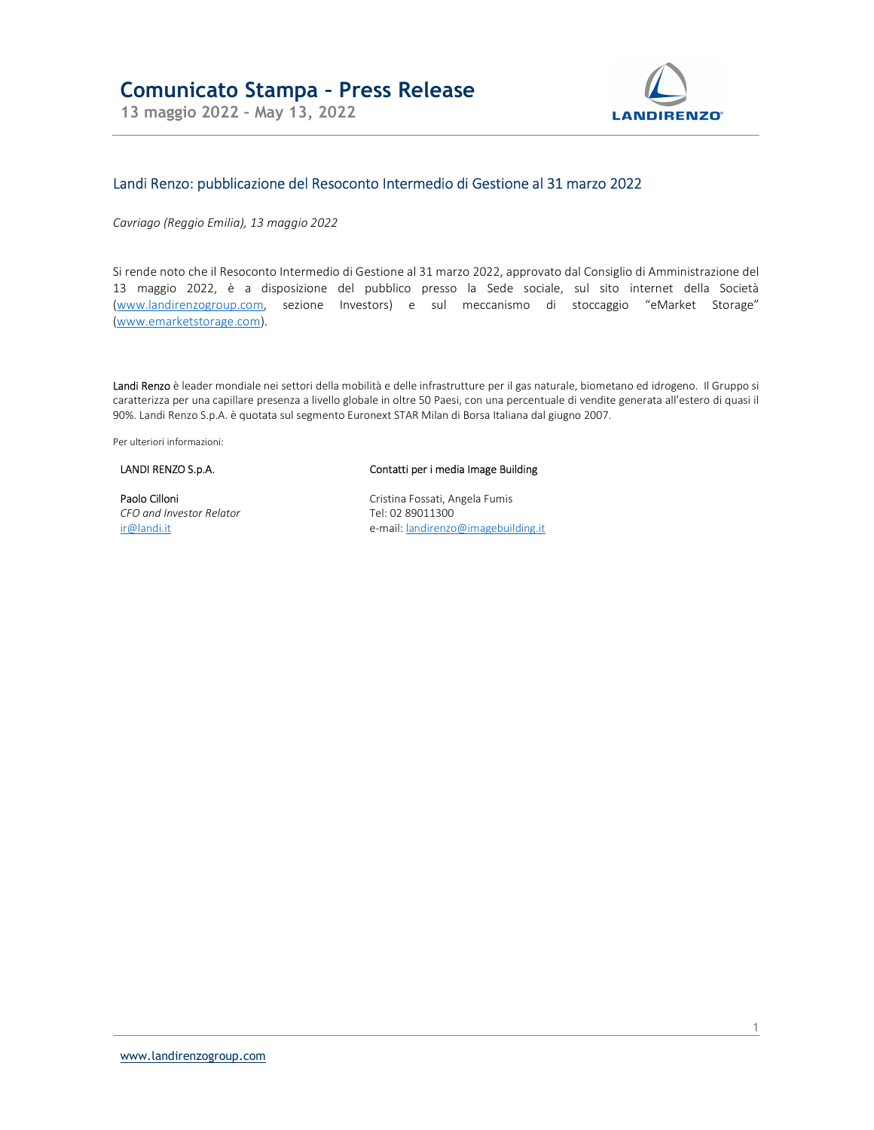13 maggio 2022 – May 13, 2022



# Landi Renzo: pubblicazione del Resoconto Intermedio di Gestione al 31 marzo 2022

Cavriago (Reggio Emilia), 13 maggio 2022

Si rende noto che il Resoconto Intermedio di Gestione al 31 marzo 2022, approvato dal Consiglio di Amministrazione del 13 maggio 2022, è a disposizione del pubblico presso la Sede sociale, sul sito internet della Società (www.landirenzogroup.com, sezione Investors) e sul meccanismo di stoccaggio "eMarket Storage" (www.emarketstorage.com).

Landi Renzo è leader mondiale nei settori della mobilità e delle infrastrutture per il gas naturale, biometano ed idrogeno. Il Gruppo si caratterizza per una capillare presenza a livello globale in oltre 50 Paesi, con una percentuale di vendite generata all'estero di quasi il 90%. Landi Renzo S.p.A. è quotata sul segmento Euronext STAR Milan di Borsa Italiana dal giugno 2007.

Per ulteriori informazioni:

### LANDI RENZO S.p.A.

Paolo Cilloni CFO and Investor Relator ir@landi.it

## Contatti per i media Image Building

Cristina Fossati, Angela Fumis Tel: 02 89011300 e-mail: landirenzo@imagebuilding.it